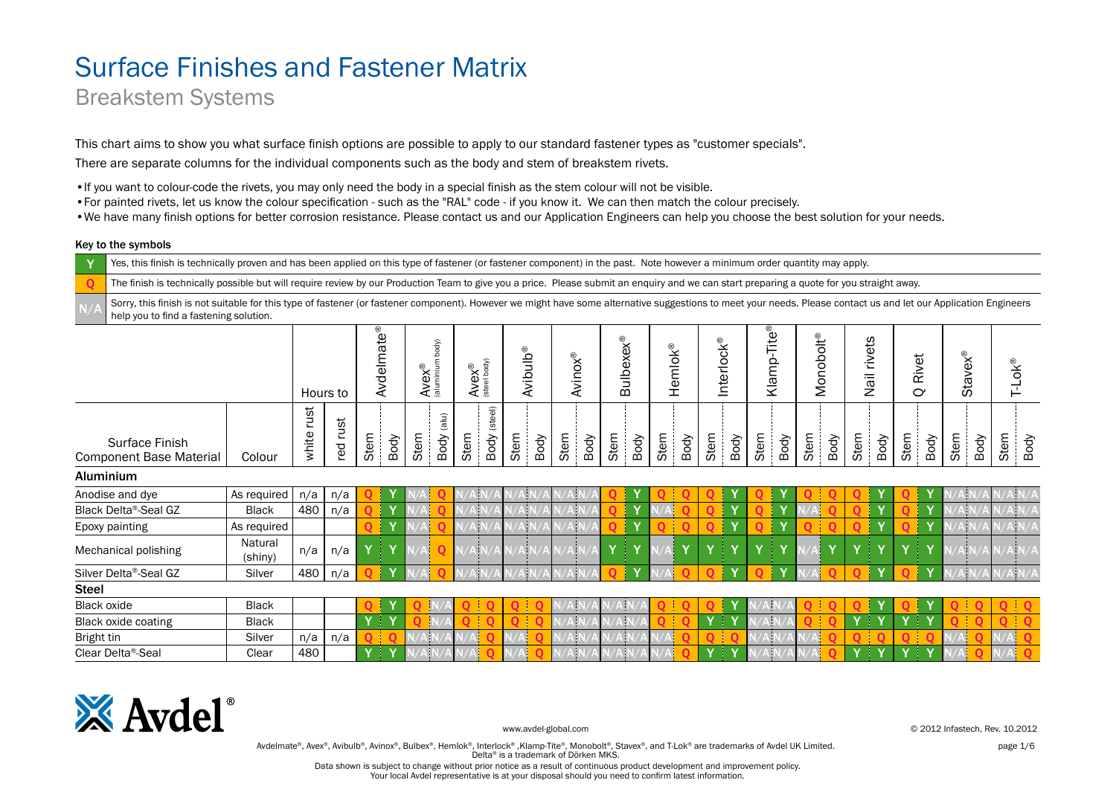### Breakstem Systems

This chart aims to show you what surface finish options are possible to apply to our standard fastener types as "customer specials".

There are separate columns for the individual components such as the body and stem of breakstem rivets.

•If you want to colour-code the rivets, you may only need the body in a special finish as the stem colour will not be visible.

- •For painted rivets, let us know the colour specification such as the "RAL" code if you know it. We can then match the colour precisely.
- •We have many finish options for better corrosion resistance. Please contact us and our Application Engineers can help you choose the best solution for your needs.

#### Key to the symbols

Yes, this finish is technically proven and has been applied on this type of fastener (or fastener component) in the past. Note however a minimum order quantity may apply.

The finish is technically possible but will require review by our Production Team to give you a price. Please submit an enquiry and we can start preparing a quote for you straight away.

Sorry, this finish is not suitable for this type of fastener (or fastener component). However we might have some alternative suggestions to meet your needs. Please contact us and let our Application Engineers help you to find a fastening solution.

|                                                  |                    |               | Avdelmate®<br>Hours to |      |              | body)<br>$A$ <b>vex</b> <sup>®</sup> |                                   | $A$ <b>VeX</b> <sup>®</sup> |                 | <b>Avibulb®</b> |      | <b>Avinox®</b> |      | <b>Bulbexex®</b> |              | Hemlok®    |             | Interlock®    |              | $-$ Tite®<br>Klamp- |              | Monobolt <sup>®</sup> |          | rivets<br>Nail |                         | Rivet<br>$\mathbf{\Omega}$ |                         | <b>Stavex®</b> |      | $T\text{-LoK}^\circledR$ |
|--------------------------------------------------|--------------------|---------------|------------------------|------|--------------|--------------------------------------|-----------------------------------|-----------------------------|-----------------|-----------------|------|----------------|------|------------------|--------------|------------|-------------|---------------|--------------|---------------------|--------------|-----------------------|----------|----------------|-------------------------|----------------------------|-------------------------|----------------|------|--------------------------|
| Surface Finish<br><b>Component Base Material</b> | Colour             | rust<br>white | red rust               | Stem | Body         | Stem                                 | $(\mathsf{ul}\mathsf{a})$<br>Body | Stem                        | (steel)<br>Body | Stem            | Body | Stem           | Body | Stem             | Body         | Stem       | Body        | Stem          | Body         | Stem                | Body         | Stem                  | Body     | Stem           | Body                    | Stem                       | Body                    | Stem           | Body | Stem<br>Body             |
| <b>Aluminium</b>                                 |                    |               |                        |      |              |                                      |                                   |                             |                 |                 |      |                |      |                  |              |            |             |               |              |                     |              |                       |          |                |                         |                            |                         |                |      |                          |
| Anodise and dye                                  | As required        | n/a           | n/a                    |      |              |                                      |                                   |                             |                 |                 |      |                |      |                  |              |            |             |               |              |                     |              |                       |          |                |                         |                            |                         |                |      | $\lambda  N/A$           |
| Black Delta®-Seal GZ                             | <b>Black</b>       | 480           | n/a                    |      |              |                                      |                                   | a.                          |                 | ψ               |      | W              |      |                  |              |            |             |               |              |                     |              |                       |          |                |                         |                            |                         |                |      | $\lambda N/A$            |
| Epoxy painting                                   | As required        |               |                        |      | $\mathbf{v}$ |                                      |                                   |                             |                 | Þ               |      |                |      |                  | Y            |            |             |               | $\mathbf{v}$ |                     | $\mathbf{v}$ |                       |          |                | $\overline{\mathbf{v}}$ |                            |                         |                |      | lΝ                       |
| Mechanical polishing                             | Natural<br>(shiny) | n/a           | n/a                    |      | 41           |                                      | ი                                 | $N/A$ $N$                   |                 | A N             | 'AN/ | A N            |      | T<br>Y           | Y            | $N/\Delta$ | $\mathbf v$ |               |              |                     |              |                       | <b>V</b> | $\mathbf v$    | $\mathbf{v}$            | $\mathbf v$<br>4           |                         | A N            |      | $\frac{1}{2}N/A$         |
| Silver Delta®-Seal GZ                            | Silver             | 480           | n/a                    |      |              |                                      |                                   |                             |                 |                 |      |                |      |                  | $\mathbf{v}$ |            |             |               |              |                     |              |                       |          |                |                         |                            |                         |                |      | A N/A                    |
| <b>Steel</b>                                     |                    |               |                        |      |              |                                      |                                   |                             |                 |                 |      |                |      |                  |              |            |             |               |              |                     |              |                       |          |                |                         |                            |                         |                |      |                          |
| <b>Black oxide</b>                               | <b>Black</b>       |               |                        |      |              |                                      |                                   |                             |                 |                 |      | W              |      |                  |              |            |             | O             |              |                     |              |                       |          |                |                         |                            |                         |                |      |                          |
| Black oxide coating                              | <b>Black</b>       |               |                        | Y    | ′∣Y          |                                      |                                   |                             |                 |                 |      | ψ              |      | ۱ļ۱              |              |            |             | $Y \parallel$ |              | W                   |              |                       |          | $\mathbf v$    | Ť.                      | $\mathbf v$<br>4           | $\overline{\mathbf{v}}$ |                |      |                          |
| Bright tin                                       | Silver             | n/a           | n/a                    |      |              |                                      |                                   |                             |                 |                 |      | VИ             |      | Áþ               |              | Aļ         |             |               |              | ЧF                  |              |                       |          |                |                         |                            |                         |                |      |                          |
| Clear Delta <sup>®</sup> -Seal                   | Clear              | 480           |                        |      | 41           |                                      |                                   |                             |                 |                 |      |                |      |                  |              |            |             | 4             |              |                     |              |                       |          | v              |                         | -1                         |                         |                |      |                          |



www.avdel-global.com © 2012 Infastech, Rev. 10.2012

Avdelmate®, Avex®, Avibulb®, Avinox®, Bulbex®, Hemlok®, Interlock®, Klamp-Tite®, Monobolt®, Stavex®, and T-Lok® are trademarks of Avdel UK Limited. page 1/6 page 1/6 Delta® is a trademark of Dörken MKS.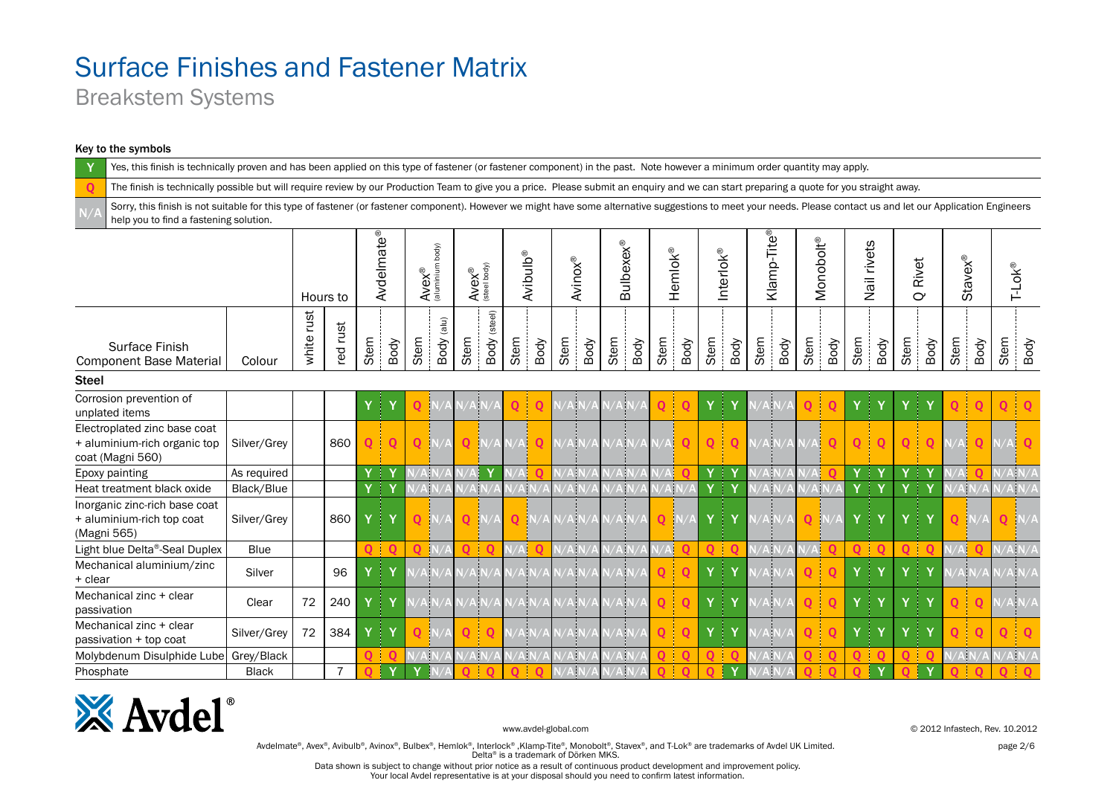Breakstem Systems

#### Key to the symbols

|                                                                                                                                                                                                                                                            | Yes, this finish is technically proven and has been applied on this type of fastener (or fastener component) in the past. Note however a minimum order quantity may apply.<br>The finish is technically possible but will require review by our Production Team to give you a price. Please submit an enquiry and we can start preparing a quote for you straight away. |               |                |               |                        |              |                                 |             |                             |                |                      |                |                   |                           |                |              |                |                |             |              |                          |                          |             |              |                       |                |                |             |           |
|------------------------------------------------------------------------------------------------------------------------------------------------------------------------------------------------------------------------------------------------------------|-------------------------------------------------------------------------------------------------------------------------------------------------------------------------------------------------------------------------------------------------------------------------------------------------------------------------------------------------------------------------|---------------|----------------|---------------|------------------------|--------------|---------------------------------|-------------|-----------------------------|----------------|----------------------|----------------|-------------------|---------------------------|----------------|--------------|----------------|----------------|-------------|--------------|--------------------------|--------------------------|-------------|--------------|-----------------------|----------------|----------------|-------------|-----------|
| $\mathbf 0$                                                                                                                                                                                                                                                |                                                                                                                                                                                                                                                                                                                                                                         |               |                |               |                        |              |                                 |             |                             |                |                      |                |                   |                           |                |              |                |                |             |              |                          |                          |             |              |                       |                |                |             |           |
| Sorry, this finish is not suitable for this type of fastener (or fastener component). However we might have some alternative suggestions to meet your needs. Please contact us and let our Application Engineers<br>help you to find a fastening solution. |                                                                                                                                                                                                                                                                                                                                                                         |               |                |               |                        |              |                                 |             |                             |                |                      |                |                   |                           |                |              |                |                |             |              |                          |                          |             |              |                       |                |                |             |           |
|                                                                                                                                                                                                                                                            |                                                                                                                                                                                                                                                                                                                                                                         |               | Hours to       |               | Avdelmate <sup>®</sup> |              | body)<br>$A$ ve $x^{\circledR}$ |             | $A$ <b>VeX</b> <sup>®</sup> |                | Avibulb <sup>®</sup> |                | <b>Avinox®</b>    | <b>Bulbexex®</b>          |                | Hemlok®      |                | Interlok®      |             |              | Monobolt <sup>®</sup>    |                          | Nail rivets |              | Rivet<br>$\mathbf{C}$ |                | <b>Stavex®</b> |             | $T-LOK^@$ |
| Surface Finish<br><b>Component Base Material</b>                                                                                                                                                                                                           | Colour                                                                                                                                                                                                                                                                                                                                                                  | rust<br>white | rust<br>red    | Stem          | Body                   | Stem         | (iu e)<br>Body                  | Stem        | Body (steel)                | Stem           | Body                 | Stem           | Body              | Stem<br>Body              | Stem           | Body         | Stem           | Body           | Stem        | Stem<br>Body |                          | Stem<br>Body             | Body        | Stem         | Body                  | Stem           | Body           | Stem        | Body      |
| <b>Steel</b>                                                                                                                                                                                                                                               |                                                                                                                                                                                                                                                                                                                                                                         |               |                |               |                        |              |                                 |             |                             |                |                      |                |                   |                           |                |              |                |                |             |              |                          |                          |             |              |                       |                |                |             |           |
| Corrosion prevention of<br>unplated items                                                                                                                                                                                                                  |                                                                                                                                                                                                                                                                                                                                                                         |               |                | $Y \parallel$ |                        | 0            |                                 |             |                             |                | 0                    |                | ψ                 |                           | 0              | Q            | Y              | ÷              |             |              |                          |                          | 4           | Y            | Ť                     |                |                | Q           |           |
| Electroplated zinc base coat<br>+ aluminium-rich organic top<br>coat (Magni 560)                                                                                                                                                                           | Silver/Grey                                                                                                                                                                                                                                                                                                                                                             |               | 860            | $\mathbf{O}$  |                        | $\mathbf{O}$ |                                 | $\mathbf 0$ | N/A                         | N/A            | $\mathbf 0$          | $N/A$ N        |                   | ۱N                        |                | $\mathbf{O}$ | $\overline{O}$ | $\mathbf 0$    | $N/A$ $N/A$ |              |                          | $\Omega$<br>$\mathbf{O}$ | $\Omega$    | $\mathbf{O}$ | $\mathbf 0$           |                | Aļ             |             |           |
| Epoxy painting                                                                                                                                                                                                                                             | As required                                                                                                                                                                                                                                                                                                                                                             |               |                |               | <u>ਂ Y</u>             |              |                                 |             |                             |                |                      | $\overline{A}$ |                   |                           |                |              | Y              | ∣ Y            | N.          |              |                          |                          | ∃Υ          | Y            | 1 Y                   |                |                |             |           |
| Heat treatment black oxide                                                                                                                                                                                                                                 | Black/Blue                                                                                                                                                                                                                                                                                                                                                              |               |                |               | $Y \parallel Y$        |              | A N                             |             | AF                          |                | ۹ļ۱                  | $\overline{A}$ |                   | A N                       | $N/A$ $N$      |              | Y              | ∣ Y            | Ŵ           |              | ۹ļ۱                      |                          | .   Υ       | Y            | ∣ Y                   |                | N/A            |             |           |
| Inorganic zinc-rich base coat<br>+ aluminium-rich top coat<br>(Magni 565)                                                                                                                                                                                  | Silver/Grev                                                                                                                                                                                                                                                                                                                                                             |               | 860            |               | ੀ Y                    |              | $O$ $N/A$                       |             | $Q$ $N/A$                   |                | $O$ $N/A$            |                | $N/A$ $N/A$ $N/A$ | A N,                      | $\overline{Q}$ | -İN.         | Y              | .   γ          | V/A N       |              | $Q$ $N/A$                |                          | .   Υ       | Y            | Ł<br>$\mathbf{Y}$     | $\overline{Q}$ |                |             | $Q$ N/A   |
| Light blue Delta®-Seal Duplex                                                                                                                                                                                                                              | Blue                                                                                                                                                                                                                                                                                                                                                                    |               |                |               | $01$ 0                 | O            |                                 |             | $\Omega$                    | $\sqrt{A}$     |                      | $\overline{A}$ |                   | ۹N                        | N/A            | $\mathbf 0$  | $\mathbf{O}$   | $\blacksquare$ | $\sqrt{A}$  |              | $\mathsf{A}$<br>$\Omega$ | $\Omega$                 | ் 0         | $\mathbf{O}$ | $\blacksquare$        |                | N/A            |             |           |
| Mechanical aluminium/zinc<br>+ clear                                                                                                                                                                                                                       | Silver                                                                                                                                                                                                                                                                                                                                                                  |               | 96             |               | $Y \parallel Y$        |              |                                 |             | AİN                         |                | V/A N/A              | $V$ A $N$      |                   | $\mathbf{A}$ $\mathbf{D}$ | Q              | Q            | Y              | ÷              | ŃВ          |              | QI<br>$\Omega$           |                          | 4<br>Y      | Y            | Ť<br>Y                |                | ۸ħ             |             |           |
| Mechanical zinc + clear<br>passivation                                                                                                                                                                                                                     | Clear                                                                                                                                                                                                                                                                                                                                                                   | 72            | 240            |               | .   γ                  |              | AN                              |             | AN/                         |                | <b>AN</b>            | <b>AN</b>      |                   | Alv                       | $\mathbf{O}$   | $\mathbf{Q}$ | Y              | Ť              | Ŵ           |              | 0 l<br>$\mathbf 0$       |                          | 47<br>Y     | Y            | Ł<br>Y                | $\Omega$       | $\mathbf{O}$   |             | $V/A$ N/A |
| Mechanical zinc + clear<br>passivation + top coat                                                                                                                                                                                                          | Silver/Grey                                                                                                                                                                                                                                                                                                                                                             | 72            | 384            | Y             | Ŧ                      |              |                                 | O.          | $\mathbf 0$                 | $V/A$ N        |                      | AN             |                   | ١N                        | 0              | $\mathbf{O}$ | Y              |                | Ŵ           |              | 0 i<br>$\Omega$          |                          | J<br>Y      | Y            | Ł<br>Y                |                | 0              | 0           |           |
| Molybdenum Disulphide Lube                                                                                                                                                                                                                                 | Grey/Black                                                                                                                                                                                                                                                                                                                                                              |               |                |               |                        |              |                                 |             | AN                          | $\sqrt{A}N$    |                      | АP             |                   |                           |                | $\Omega$     | $\Omega$       |                | ١þ          |              |                          |                          | $\Omega$    | $\Omega$     | $\mathbf 0$           |                | N/A            |             | $/A$ N/A  |
| Phosphate                                                                                                                                                                                                                                                  | <b>Black</b>                                                                                                                                                                                                                                                                                                                                                            |               | $\overline{7}$ |               |                        | Y            |                                 | 0           | $\mathbf 0$                 | $\overline{Q}$ | $\mathbf 0$          | $N/A$ N        |                   | A N                       | Q              | $\mathbf{O}$ | $\overline{Q}$ | Y              | /A          |              | Ō.<br>$\Omega$           | $\Omega$                 | Ÿ           | $\Omega$     | $\mathbf{Y}$          |                |                | $\mathbf 0$ |           |



www.avdel-global.com © 2012 Infastech, Rev. 10.2012

Avdelmate®, Avex®, Avibulb®, Avinox®, Bulbex®, Hemlok®, Interlock®, Klamp-Tite®, Monobolt®, Stavex®, and T-Lok® are trademarks of Avdel UK Limited. page 2/6 Delta® is a trademark of Dörken MKS.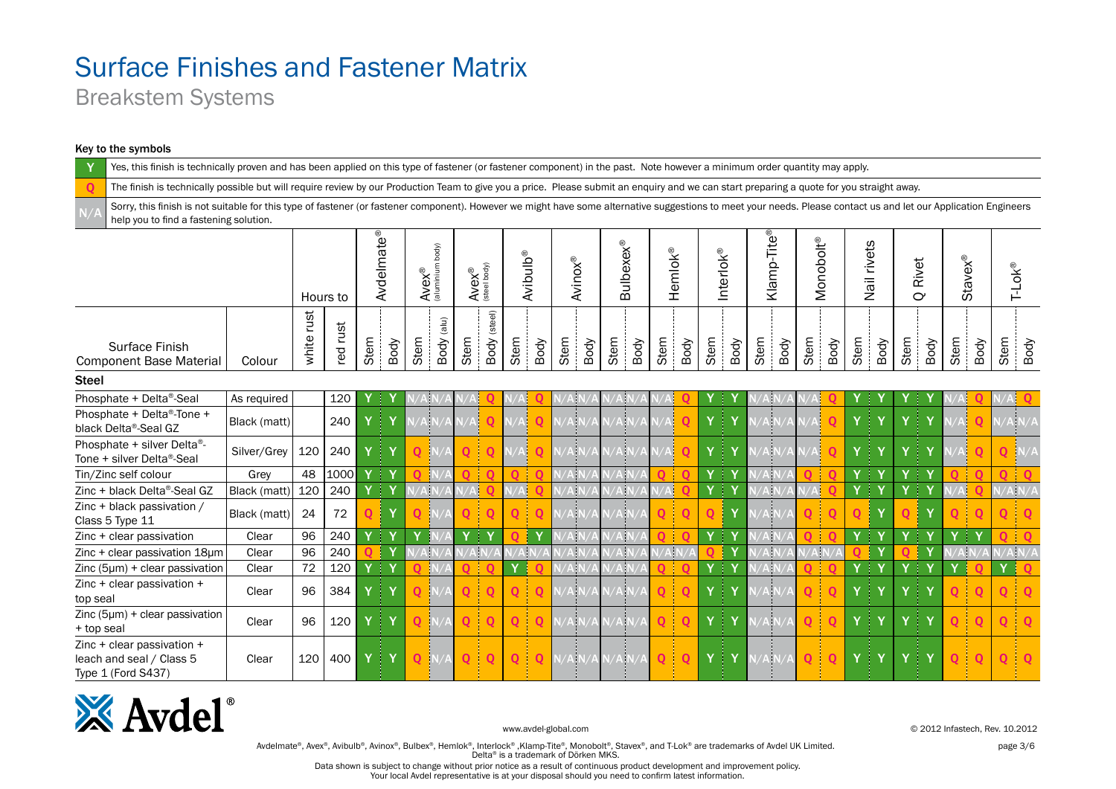Breakstem Systems

#### Key to the symbols

Yes, this finish is technically proven and has been applied on this type of fastener (or fastener component) in the past. Note however a minimum order quantity may apply. The finish is technically possible but will require review by our Production Team to give you a price. Please submit an enquiry and we can start preparing a quote for you straight away. Sorry, this finish is not suitable for this type of fastener (or fastener component). However we might have some alternative suggestions to meet your needs. Please contact us and let our Application Engineers help you to find a fastening solution.Avdelmate<sup>®</sup> Klamp-Tite® Avdelmate® **Klamp-Tite**® **Monobolt<sup>®</sup> Bulbexex®** Monobolt® body) **Vail rivets** Bulbexex® Nail rivets (aluminium body) Hemlok® Interlok® Avibulb® Avinox® Stavex® Rivet  $A$ ve $x^{\circledR}$ T-Lok®  $A$ v $ex^{\circledR}$ <br>(steel body) (steel body) Hours to  $\alpha$ Body (steel) white rust white rust Body (alu) red rust Stem Stem Stem Stem Stem Stem Stem Stem Stem Stem Stem Stem Body Body Stem Body Body Body Body Body Body Body Stem Body Body Body Surface Finish Component Base Material | Colour Steel Phosphate + Delta®-Seal As required 120 Y Y N/A N/A N/A Q N/A Q N/A N/A N/A N/A N/A Q Y Y N/A N/A N/A Q Y Y Y Y N/A Q N/A Q Phosphate + Delta®-Tone + black Delta®-Seal GZ Black (matt) 240 Y Y N/A N/A N/A Q N/A Q N/A N/A N/A N/A Q Y Y N/A N/A Q Y Y Y Y Y N/A Q N/A N/A Phosphate + silver Delta®- Tone + silver Delta®-Seal Silver/Grey 20 240 Y Y Q N/A Q Q N/A Q N/A N/A N/A N/A N/A Q Y Y N/A N/A Q Y Y Y Y Y WA Q Q N/A Tin/Zinc self colour Grey 48 1000 Y Y Q N/A Q Q Q Q N/A N/A N/A N/A Q Q Y Y N/A N/A Q Q Y Y Y Y Q Q Q Q Zinc + black Delta®-Seal GZ Black (matt) 120 240 Y Y N/A N/A N/A Q N/A Q N/A N/A N/A N/A N/A Q Y Y N/A N/A N/A Q Y Y Y Y N/A Q N/A N/A Zinc + black passivation / Class <sup>5</sup> Type <sup>11</sup> Black (matt) <sup>24</sup> <sup>72</sup> <sup>Q</sup> <sup>Y</sup> <sup>Q</sup> N/A <sup>Q</sup> <sup>Q</sup> <sup>Q</sup> <sup>Q</sup> N/A N/A N/A N/A <sup>Q</sup> <sup>Q</sup> <sup>Q</sup> <sup>Y</sup> N/A N/A <sup>Q</sup> <sup>Q</sup> <sup>Q</sup> <sup>Y</sup> <sup>Q</sup> <sup>Y</sup> <sup>Q</sup> <sup>Q</sup> <sup>Q</sup> <sup>Q</sup> Zinc+clear passivation Clear 96 240 <mark>Y Y Y Y Y N/A Y Y Y Q Y Y</mark> N/A N/A N/A <mark>N/A Q <mark>Q</mark> Y Y Y Y Y Y Y Y Y Y Y Y Y Q i Q</mark> Zinc + clear passivation 18µm Clear 96 240 Q Y N/A N/A N/A N/A N/A N/A N/A N/A N/A N/A N/A N/A Q Y N/A N/A N/A N/A Q Y Q Y N/A N/A N/A N/A  $\sum$  Zinc (5µm) + clear passivation Clear 72 120 Y Y Y Q N/A Q O Y O Y Q N/A N/A N/A N/A Q O Y Y Y N/A N/A Zinc + clear passivation + top seal Clear Clear 96 384 Y Y Q N/A Q Q Q Q N/A N/A N/A N/A Q Q Y Y N/A N/A Q Q Y Y Y Y Y Q Q Q Q Q Zinc (5µm) + clear passivation 2nio (opini) + cicar passivadori | Clear | 96 | 120 | Υ | Υ | <mark>Q |</mark>N/A <mark>| Q | Q | Q | Q | N</mark>/A|N/A|N/A| <mark>Q | Q | Υ | Υ | Υ | Υ | Υ | Υ | Υ | Ο | Q | Q | Q</mark> | Q | Q | Q Zinc + clear passivation + leach and seal / Class 5 Clear | 120 | 400 | Y | Y | <mark>Q |</mark>N/A <mark>| Q | Q | Q | Q</mark> |N/A N/A N/A N/A | Q | Q | Y | Y | N | Y | Y | Y | Y | V | V | <mark>Q | Q | Q</mark> | Q Type 1 (Ford S437)



www.avdel-global.com © 2012 Infastech, Rev. 10.2012

Avdelmate®, Avex®, Avibulb®, Avinox®, Bulbex®, Hemlok®, Interlock®, Klamp-Tite®, Monobolt®, Stavex®, and T-Lok® are trademarks of Avdel UK Limited. page 3/6 Delta® is a trademark of Dörken MKS.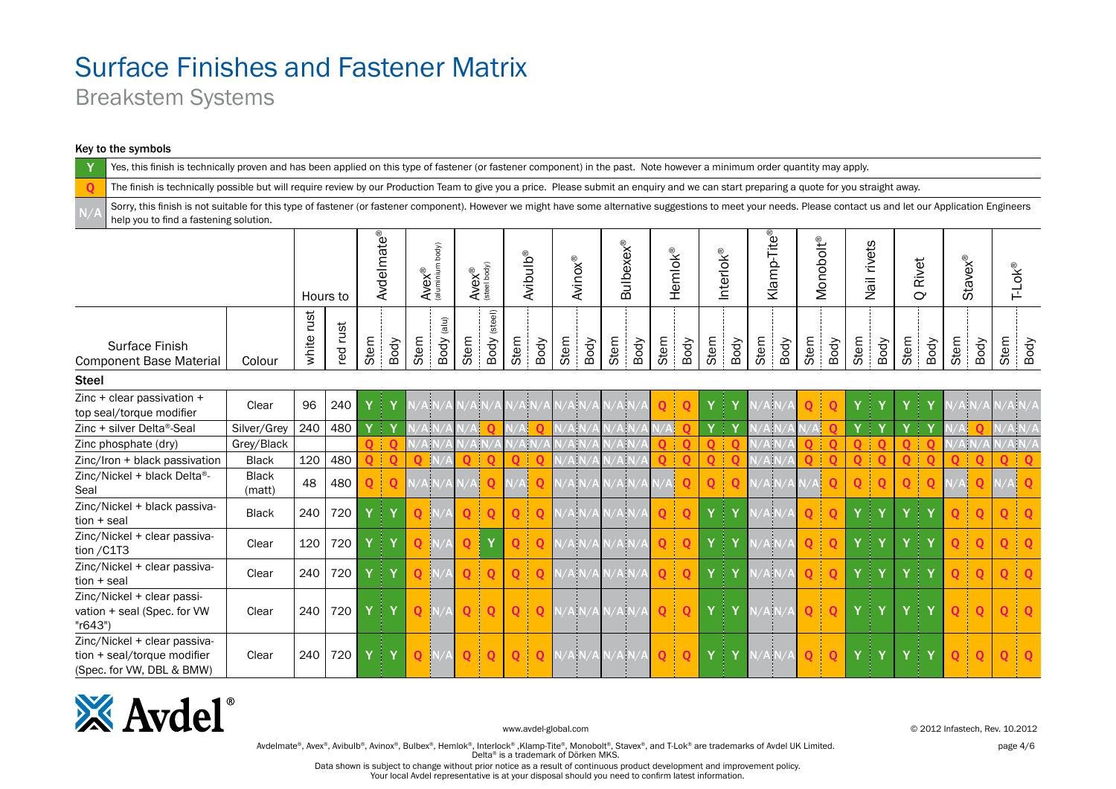Breakstem Systems

#### Key to the symbols

Yes, this finish is technically proven and has been applied on this type of fastener (or fastener component) in the past. Note however a minimum order quantity may apply. The finish is technically possible but will require review by our Production Team to give you a price. Please submit an enquiry and we can start preparing a quote for you straight away. Sorry, this finish is not suitable for this type of fastener (or fastener component). However we might have some alternative suggestions to meet your needs. Please contact us and let our Application Engineers help you to find a fastening solution.Avdelmate<sup>®</sup> Klamp-Tite® Avdelmate® Klamp-Tite<sup>®</sup> Monobolt<sup>®</sup> Monobolt® **Bulbexex®** Nail rivets body) Bulbexex® Nail rivets (aluminium body) Interlok® Hemlok® Avibulb® Avinox® Rivet Stavex®  $A$ ve $X^{\circledR}$ T-Lok®  $A$ ve $X^{\circledR}$ (steel body)  $\alpha$ Hours to Body (steel) white rust white rust Body (alu) red rust Stem Stem Stem Stem Stem Stem Stem Stem Stem Stem Stem Stem Stem Stem Body Body Body Body Body Body Body Body Body Body Body Body Surface Finish Component Base Material | Colour Steel Zinc + clear passivation + top seal/torque modifier Clear <sup>96</sup> <sup>240</sup> <sup>Y</sup> <sup>Y</sup> N/A N/A N/A N/A N/A N/A N/A N/A N/A N/A <sup>Q</sup> <sup>Q</sup> <sup>Y</sup> <sup>Y</sup> N/A N/A <sup>Q</sup> <sup>Q</sup> <sup>Y</sup> <sup>Y</sup> <sup>Y</sup> <sup>Y</sup> N/A N/A N/A N/A Zinc + silver Delta®-Seal Silver/Grey 240 480 Y Y N/A N/A N/A Q N/A Q N/A N/A N/A N/A N/A Q Y Y N/A N/A N/A Q Y Y Y Y N/A Q N/A N/A Zinc phosphate (dry) Grey/Black Q Q Q N/A N/A N/A N/A N/A N/A N/A N/A N/A <mark>Q Q Q Q Q Q Q Q Q Q Q Q Q Q N/A N/A N/A</mark> N/A Zinc/Iron + black passivation Black 120 480 Q Q Q N/A Q Q Q Q N/A N/A N/A N/A Q Q Q Q N/A N/A Q Q Q Q Q Q Q Q Q Q Zinc/Nickel + black Delta®- Black 51000 | 48 | 480 | Q | Q | N/A N/A | Q | N/A | Q | N/A N/A | N/A | N/A | Q | Q | Q | N/A | N/A | Q | Q | Q | Q | Q | Q | Q | N/A | Q | Q | N/A | Q Seal Zinc/Nickel + black passivation <sup>+</sup> seal Black <sup>240</sup> <sup>720</sup> <sup>Y</sup> <sup>Y</sup> <sup>Q</sup> N/A <sup>Q</sup> <sup>Q</sup> <sup>Q</sup> <sup>Q</sup> N/A N/A N/A N/A <sup>Q</sup> <sup>Q</sup> <sup>Y</sup> <sup>Y</sup> N/A N/A <sup>Q</sup> <sup>Q</sup> <sup>Y</sup> <sup>Y</sup> <sup>Y</sup> <sup>Y</sup> <sup>Q</sup> <sup>Q</sup> <sup>Q</sup> <sup>Q</sup> Zinc/Nickel + clear passivation /C1T3 Clear <sup>120</sup> <sup>720</sup> <sup>Y</sup> <sup>Y</sup> <sup>Q</sup> N/A <sup>Q</sup> <sup>Y</sup> <sup>Q</sup> <sup>Q</sup> N/A N/A N/A N/A <sup>Q</sup> <sup>Q</sup> <sup>Y</sup> <sup>Y</sup> N/A N/A <sup>Q</sup> <sup>Q</sup> <sup>Y</sup> <sup>Y</sup> <sup>Y</sup> <sup>Y</sup> <sup>Q</sup> <sup>Q</sup> <sup>Q</sup> <sup>Q</sup> Zinc/Nickel + clear passivation + seal Clear 240 720 Y Y Y Q N/A Q Q Q Q Q N/A N/A N/A N/A Q Q Y Y Y N/A N/A Q Q Q Y Y Y Y Y Q Q Q Q Zinc/Nickel + clear passivation + seal (Spec. for VW Clear | 240 | 720 | Y | Y | <mark>Q |</mark>N/A <mark>| Q | Q | Q | Q</mark> | N/A N/A N/A N/A | Q | Q | Y | Y | N | Y | Y | Y | Y | V | V | Q | Q | Q | Q | Q "r643") Zinc/Nickel + clear passivation + seal/torque modifier Clear | 240 | 720 | Y | Y | Q |N/A | Q | Q | Q | Q |N/A N/A N/A N/A | Q | Q | Y | Y | N | Y | Y | Y | Y | V | Q | Q | Q | Q | Q (Spec. for VW, DBL & BMW)



www.avdel-global.com © 2012 Infastech, Rev. 10.2012

Avdelmate®, Avex®, Avibulb®, Avinox®, Bulbex®, Hemlok®, Interlock®, Klamp-Tite®, Monobolt®, Stavex®, and T-Lok® are trademarks of Avdel UK Limited. page 4/6 Delta® is a trademark of Dörken MKS.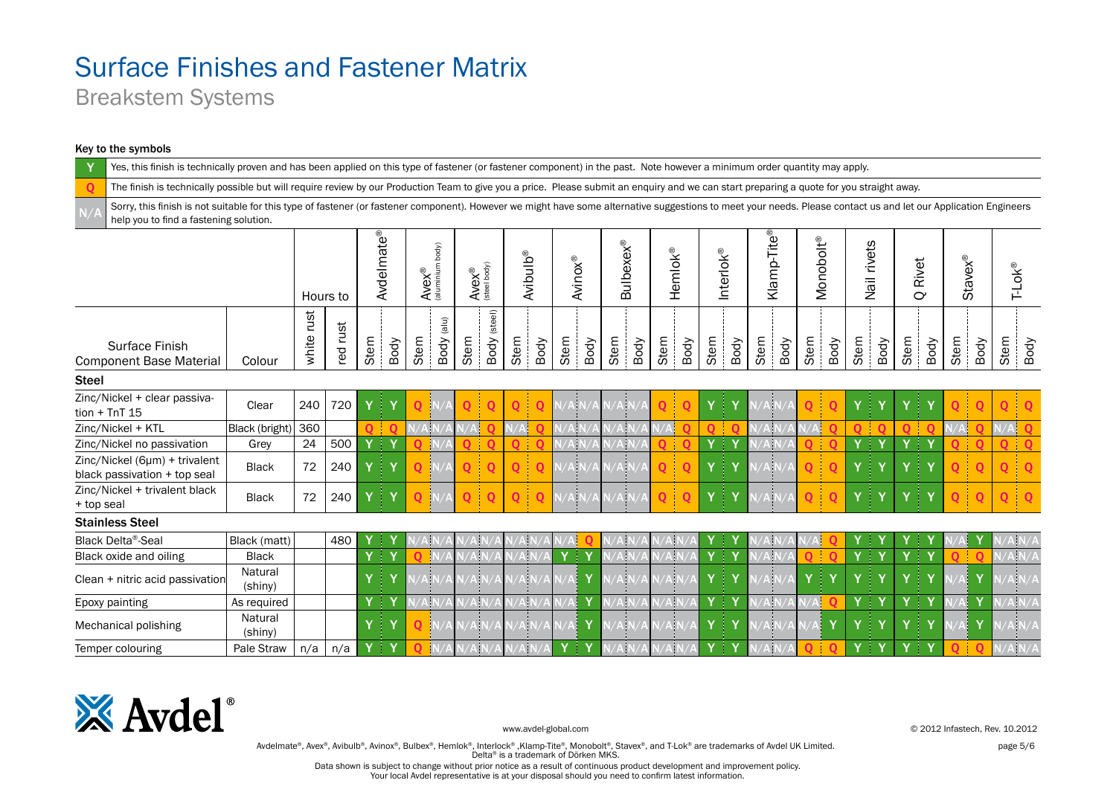Breakstem Systems

#### Key to the symbols

|              | Yes, this finish is technically proven and has been applied on this type of fastener (or fastener component) in the past. Note however a minimum order quantity may apply.                                                                                 |                    |               |            |            |            |         |                                                                       |      |              |                      |          |                |        |                  |      |             |          |           |                                      |                       |      |             |                   |                       |          |                |      |                     |
|--------------|------------------------------------------------------------------------------------------------------------------------------------------------------------------------------------------------------------------------------------------------------------|--------------------|---------------|------------|------------|------------|---------|-----------------------------------------------------------------------|------|--------------|----------------------|----------|----------------|--------|------------------|------|-------------|----------|-----------|--------------------------------------|-----------------------|------|-------------|-------------------|-----------------------|----------|----------------|------|---------------------|
| $\mathbf 0$  | The finish is technically possible but will require review by our Production Team to give you a price. Please submit an enquiry and we can start preparing a quote for you straight away.                                                                  |                    |               |            |            |            |         |                                                                       |      |              |                      |          |                |        |                  |      |             |          |           |                                      |                       |      |             |                   |                       |          |                |      |                     |
|              | Sorry, this finish is not suitable for this type of fastener (or fastener component). However we might have some alternative suggestions to meet your needs. Please contact us and let our Application Engineers<br>help you to find a fastening solution. |                    |               |            |            |            |         |                                                                       |      |              |                      |          |                |        |                  |      |             |          |           |                                      |                       |      |             |                   |                       |          |                |      |                     |
|              |                                                                                                                                                                                                                                                            |                    | Hours to      |            | Avdelmate® |            |         | $AveX^{\circledR}$<br>(aluminium body)<br>$A$ <b>VeX</b> <sup>®</sup> |      |              | Avibulb <sup>®</sup> |          | <b>Avinox®</b> |        | <b>Bulbexex®</b> |      | Hemlok®     |          | Interlok® | Klamp-Tite®                          | Monobolt <sup>®</sup> |      | Nail rivets |                   | Rivet<br>$\mathbf{C}$ |          | <b>Stavex®</b> |      | $T-LOK^{\circledR}$ |
|              | Surface Finish<br><b>Component Base Material</b>                                                                                                                                                                                                           | Colour             | rust<br>white | rust<br>pa | Stem       | Body       | Stem    | $(\mathsf{a} \mathsf{u})$<br>Body                                     | Stem | Body (steel) | Stem                 | Body     | Stem           | Body   | Stem<br>Body     | Stem | Body        | Stem     | Body      | Stem<br>Body                         | Stem                  | Body | Stem        | Body              | Stem                  | Body     | Stem           | Body | Stem<br>Body        |
| <b>Steel</b> |                                                                                                                                                                                                                                                            |                    |               |            |            |            |         |                                                                       |      |              |                      |          |                |        |                  |      |             |          |           |                                      |                       |      |             |                   |                       |          |                |      |                     |
|              | Zinc/Nickel + clear passiva-<br>$tion + TnT 15$                                                                                                                                                                                                            | Clear              | 240           | 720        |            |            |         |                                                                       |      |              |                      |          |                |        |                  |      |             |          |           |                                      |                       |      |             |                   |                       |          |                |      | O                   |
|              | Zinc/Nickel + KTL                                                                                                                                                                                                                                          | Black (bright)     | 360           |            |            | റിറ        | $N/A$ N |                                                                       |      |              | $\sqrt{A}$           |          | 'Aİ            |        | ۱N               | /A   |             | $\Omega$ |           | ۸İ١                                  | Aļ                    |      |             | $\Omega$          | $\Omega$              | $\Omega$ | V/A            |      |                     |
|              | Zinc/Nickel no passivation                                                                                                                                                                                                                                 | Grey               | 24            | 500        |            | $Y \mid Y$ |         |                                                                       |      | $\Omega$     | $\Omega$             | $\Omega$ | N/A            |        | ۸ļ۱              | 0    | $\Omega$    | Y<br>Ť.  |           |                                      |                       |      | Y           | 4<br>$\mathbf{Y}$ | Y                     | † Y      |                |      | 0                   |
|              | Zinc/Nickel (6µm) + trivalent<br>black passivation + top seal                                                                                                                                                                                              | <b>Black</b>       | 72            | 240        |            | 4          |         |                                                                       | O    | $\Omega$     | $\Omega$             | O        |                |        |                  | 0    | $\mathbf 0$ | Y        |           |                                      | 0 I                   | റ    |             | 4<br>Y            |                       | Y<br>ł   |                |      | 0                   |
| + top seal   | Zinc/Nickel + trivalent black                                                                                                                                                                                                                              | <b>Black</b>       | 72            | 240        | Y          | 41         |         |                                                                       | 0    | $\Omega$     | $\mathbf 0$          | $\Omega$ |                |        |                  | 0    | O           | Y        |           |                                      |                       |      |             |                   |                       | Y        |                |      | 0                   |
|              | <b>Stainless Steel</b>                                                                                                                                                                                                                                     |                    |               |            |            |            |         |                                                                       |      |              |                      |          |                |        |                  |      |             |          |           |                                      |                       |      |             |                   |                       |          |                |      |                     |
|              | <b>Black Delta®-Seal</b>                                                                                                                                                                                                                                   | Black (matt)       |               | 480        |            | 4          |         |                                                                       |      |              |                      |          |                |        |                  |      |             |          |           |                                      |                       |      |             |                   |                       |          |                |      |                     |
|              | Black oxide and oiling                                                                                                                                                                                                                                     | <b>Black</b>       |               |            | Y          | .   Υ      |         |                                                                       | 4    |              | ۱h                   |          |                | Ł      | ψ                |      | dг          | Ÿ        | ÷.        |                                      |                       |      |             | 4                 | Y                     | † Y      |                |      |                     |
|              | Clean + nitric acid passivation                                                                                                                                                                                                                            | Natural<br>(shiny) |               |            |            | 4          |         |                                                                       |      |              |                      |          |                |        |                  |      |             |          |           |                                      |                       | 4    |             | 4                 |                       | T        |                |      |                     |
|              | Epoxy painting                                                                                                                                                                                                                                             | As required        |               |            |            | $\bullet$  |         | AIN                                                                   | ¢.   |              | ψ                    |          |                | Y      | ψ                |      | ψ           | Y        | † Y       | Ŵ                                    |                       |      | Y           | ∃Υ                | Y                     | † Y      |                | Y    |                     |
|              | Mechanical polishing                                                                                                                                                                                                                                       | Natural<br>(shiny) |               |            | Y          | 4          |         |                                                                       |      |              | ĄΝ                   |          | /Al            |        |                  |      |             | Y        |           | Ŵ                                    |                       |      |             | 1                 |                       | Ť<br>Y   |                |      |                     |
|              | Temper colouring                                                                                                                                                                                                                                           | Pale Straw         | n/a           | n/a        |            | $Y \mid Y$ |         |                                                                       | Ŵ    |              | VК                   |          | Y              | Ł<br>Y | ψN               |      | 'A N        | Y        | † Y       | $\overline{\overline{\mathsf{A}}}$ l | O                     | ിറ   | $\mathbf v$ | 4<br>$\mathbf{Y}$ | Y                     | Ł<br>Y   |                |      |                     |



www.avdel-global.com © 2012 Infastech, Rev. 10.2012

Avdelmate®, Avex®, Avibulb®, Avinox®, Bulbex®, Hemlok®, Interlock®, Klamp-Tite®, Monobolt®, Stavex®, and T-Lok® are trademarks of Avdel UK Limited. page 5/6 Delta® is a trademark of Dörken MKS.